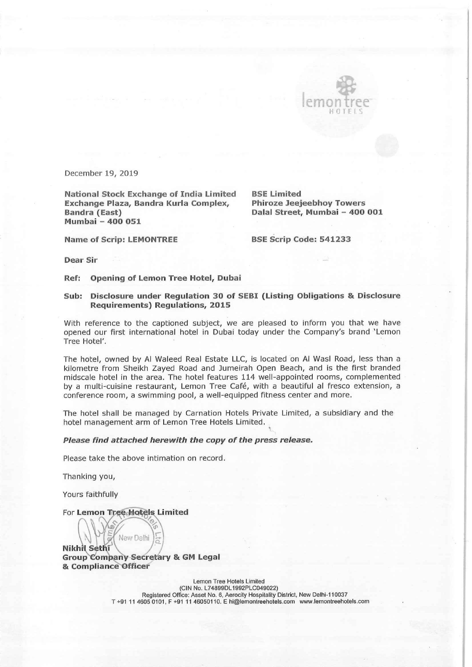

December 19, 2019

National Stock Exchange of India Limited BSE Limited Exchange Plaza, Bandra Kurla Complex, Phiroze Jeejeebhoy Towers Bandra (East) Dalal Street, Mumbai - 400 001 Mumbai - 400 051

Name of Scrip: LEMONTREE BSE Scrip Code: 541233

Dear Sir

Ref: Opening of Lemon Tree Hotel, Dubai

## Sub: Disclosure under Regulation 30 of SEBI (Listing Obligations & Disclosure Requirements) Regulations, 2015

With reference to the captioned subject, we are pleased to inform you that we have opened our first international hotel in Dubai today under the Company's brand 'Lemon Tree Hotel'.

The hotel, owned by Al Waleed Real Estate LLC, is located on Al Was! Road, less than a kilometre from Sheikh Zayed Road and Jumeirah Open Beach, and is the first branded midscale hotel in the area. The hotel features 114 well-appointed rooms, complemented by a multi-cuisine restaurant, Lemon Tree Café, with a beautiful al fresco extension, a conference room, a swimming pool, a well-equipped fitness center and more.

The hotel shall be managed by Carnation Hotels Private Limited, a subsidiary and the hotel management arm of Lemon Tree Hotels Limited.

## Please find attached herewith the copy of the press release.

Please take the above intimation on record.

Thanking you,

Yours faithfully

For Lemon Tree Hotels Limited

New Delhi Nikhil Sethi<br>Group Company Secretary & GM Legal & Compliance Officer

 $\frac{1}{2}$ 

Lemon Tree Hotels Limited (CIN No. L74899DL1992PLC049022) Registered Office: Asset No. 6, Aerocity Hospitality District, New Delhi-110037 T +91 11 4605 0101, F +91 11 46050110. E hi@lemontreehotels.com www.lemontreehotels.com